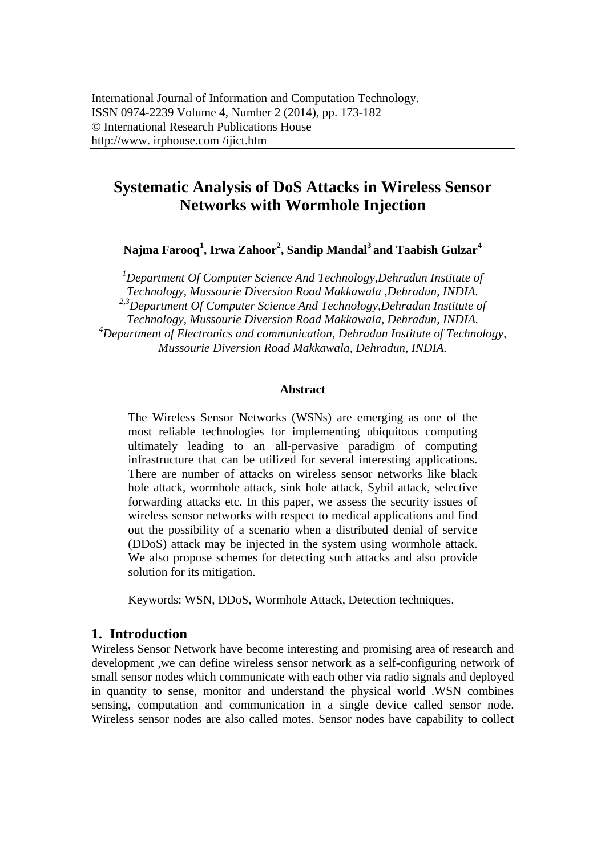# **Systematic Analysis of DoS Attacks in Wireless Sensor Networks with Wormhole Injection**

**Najma Farooq1 , Irwa Zahoor2 , Sandip Mandal3 and Taabish Gulzar4** 

<sup>1</sup>Department Of Computer Science And Technology,Dehradun Institute of *Technology, Mussourie Diversion Road Makkawala ,Dehradun, INDIA. 2,3Department Of Computer Science And Technology,Dehradun Institute of Technology, Mussourie Diversion Road Makkawala, Dehradun, INDIA. 4 Department of Electronics and communication, Dehradun Institute of Technology, Mussourie Diversion Road Makkawala, Dehradun, INDIA.* 

### **Abstract**

The Wireless Sensor Networks (WSNs) are emerging as one of the most reliable technologies for implementing ubiquitous computing ultimately leading to an all-pervasive paradigm of computing infrastructure that can be utilized for several interesting applications. There are number of attacks on wireless sensor networks like black hole attack, wormhole attack, sink hole attack, Sybil attack, selective forwarding attacks etc. In this paper, we assess the security issues of wireless sensor networks with respect to medical applications and find out the possibility of a scenario when a distributed denial of service (DDoS) attack may be injected in the system using wormhole attack. We also propose schemes for detecting such attacks and also provide solution for its mitigation.

Keywords: WSN, DDoS, Wormhole Attack, Detection techniques.

# **1. Introduction**

Wireless Sensor Network have become interesting and promising area of research and development ,we can define wireless sensor network as a self-configuring network of small sensor nodes which communicate with each other via radio signals and deployed in quantity to sense, monitor and understand the physical world .WSN combines sensing, computation and communication in a single device called sensor node. Wireless sensor nodes are also called motes. Sensor nodes have capability to collect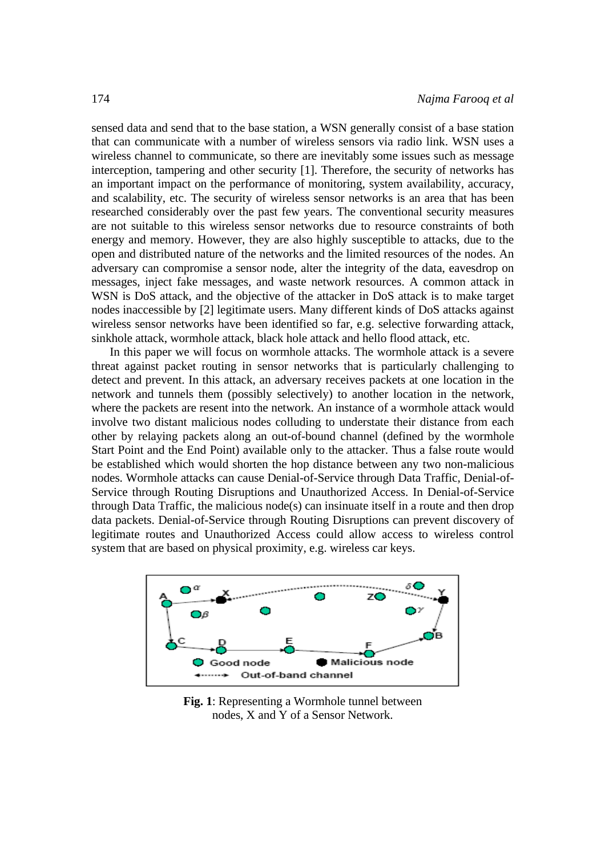sensed data and send that to the base station, a WSN generally consist of a base station that can communicate with a number of wireless sensors via radio link. WSN uses a wireless channel to communicate, so there are inevitably some issues such as message interception, tampering and other security [1]. Therefore, the security of networks has an important impact on the performance of monitoring, system availability, accuracy, and scalability, etc. The security of wireless sensor networks is an area that has been researched considerably over the past few years. The conventional security measures are not suitable to this wireless sensor networks due to resource constraints of both energy and memory. However, they are also highly susceptible to attacks, due to the open and distributed nature of the networks and the limited resources of the nodes. An adversary can compromise a sensor node, alter the integrity of the data, eavesdrop on messages, inject fake messages, and waste network resources. A common attack in WSN is DoS attack, and the objective of the attacker in DoS attack is to make target nodes inaccessible by [2] legitimate users. Many different kinds of DoS attacks against wireless sensor networks have been identified so far, e.g. selective forwarding attack, sinkhole attack, wormhole attack, black hole attack and hello flood attack, etc.

In this paper we will focus on wormhole attacks. The wormhole attack is a severe threat against packet routing in sensor networks that is particularly challenging to detect and prevent. In this attack, an adversary receives packets at one location in the network and tunnels them (possibly selectively) to another location in the network, where the packets are resent into the network. An instance of a wormhole attack would involve two distant malicious nodes colluding to understate their distance from each other by relaying packets along an out-of-bound channel (defined by the wormhole Start Point and the End Point) available only to the attacker. Thus a false route would be established which would shorten the hop distance between any two non-malicious nodes. Wormhole attacks can cause Denial-of-Service through Data Traffic, Denial-of-Service through Routing Disruptions and Unauthorized Access. In Denial-of-Service through Data Traffic, the malicious node(s) can insinuate itself in a route and then drop data packets. Denial-of-Service through Routing Disruptions can prevent discovery of legitimate routes and Unauthorized Access could allow access to wireless control system that are based on physical proximity, e.g. wireless car keys.



**Fig. 1**: Representing a Wormhole tunnel between nodes, X and Y of a Sensor Network.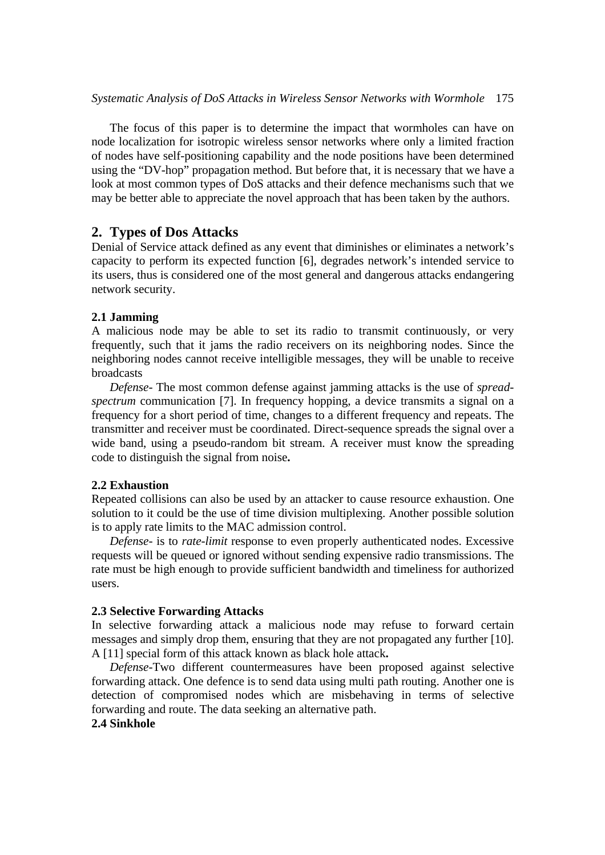The focus of this paper is to determine the impact that wormholes can have on node localization for isotropic wireless sensor networks where only a limited fraction of nodes have self-positioning capability and the node positions have been determined using the "DV-hop" propagation method. But before that, it is necessary that we have a look at most common types of DoS attacks and their defence mechanisms such that we may be better able to appreciate the novel approach that has been taken by the authors.

# **2. Types of Dos Attacks**

Denial of Service attack defined as any event that diminishes or eliminates a network's capacity to perform its expected function [6], degrades network's intended service to its users, thus is considered one of the most general and dangerous attacks endangering network security.

### **2.1 Jamming**

A malicious node may be able to set its radio to transmit continuously, or very frequently, such that it jams the radio receivers on its neighboring nodes. Since the neighboring nodes cannot receive intelligible messages, they will be unable to receive broadcasts

*Defense-* The most common defense against jamming attacks is the use of *spreadspectrum* communication [7]. In frequency hopping, a device transmits a signal on a frequency for a short period of time, changes to a different frequency and repeats. The transmitter and receiver must be coordinated. Direct-sequence spreads the signal over a wide band, using a pseudo-random bit stream. A receiver must know the spreading code to distinguish the signal from noise**.** 

### **2.2 Exhaustion**

Repeated collisions can also be used by an attacker to cause resource exhaustion. One solution to it could be the use of time division multiplexing. Another possible solution is to apply rate limits to the MAC admission control.

*Defense-* is to *rate-limit* response to even properly authenticated nodes. Excessive requests will be queued or ignored without sending expensive radio transmissions. The rate must be high enough to provide sufficient bandwidth and timeliness for authorized users.

#### **2.3 Selective Forwarding Attacks**

In selective forwarding attack a malicious node may refuse to forward certain messages and simply drop them, ensuring that they are not propagated any further [10]. A [11] special form of this attack known as black hole attack**.**

*Defense-*Two different countermeasures have been proposed against selective forwarding attack. One defence is to send data using multi path routing. Another one is detection of compromised nodes which are misbehaving in terms of selective forwarding and route. The data seeking an alternative path.

#### **2.4 Sinkhole**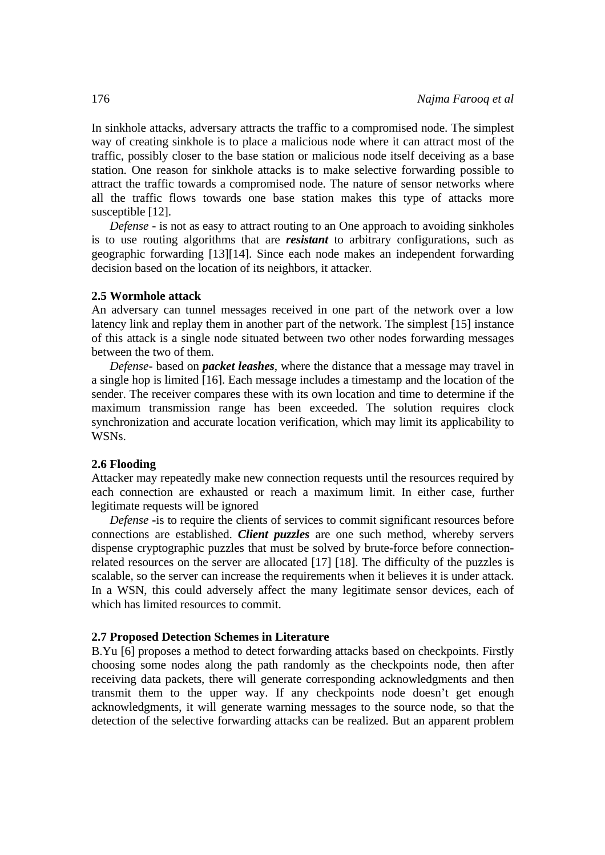In sinkhole attacks, adversary attracts the traffic to a compromised node. The simplest way of creating sinkhole is to place a malicious node where it can attract most of the traffic, possibly closer to the base station or malicious node itself deceiving as a base station. One reason for sinkhole attacks is to make selective forwarding possible to attract the traffic towards a compromised node. The nature of sensor networks where all the traffic flows towards one base station makes this type of attacks more susceptible [12].

*Defense -* is not as easy to attract routing to an One approach to avoiding sinkholes is to use routing algorithms that are *resistant* to arbitrary configurations, such as geographic forwarding [13][14]. Since each node makes an independent forwarding decision based on the location of its neighbors, it attacker.

#### **2.5 Wormhole attack**

An adversary can tunnel messages received in one part of the network over a low latency link and replay them in another part of the network. The simplest [15] instance of this attack is a single node situated between two other nodes forwarding messages between the two of them.

*Defense-* based on *packet leashes*, where the distance that a message may travel in a single hop is limited [16]. Each message includes a timestamp and the location of the sender. The receiver compares these with its own location and time to determine if the maximum transmission range has been exceeded. The solution requires clock synchronization and accurate location verification, which may limit its applicability to WSNs.

### **2.6 Flooding**

Attacker may repeatedly make new connection requests until the resources required by each connection are exhausted or reach a maximum limit. In either case, further legitimate requests will be ignored

*Defense* **-**is to require the clients of services to commit significant resources before connections are established. *Client puzzles* are one such method, whereby servers dispense cryptographic puzzles that must be solved by brute-force before connectionrelated resources on the server are allocated [17] [18]. The difficulty of the puzzles is scalable, so the server can increase the requirements when it believes it is under attack. In a WSN, this could adversely affect the many legitimate sensor devices, each of which has limited resources to commit.

#### **2.7 Proposed Detection Schemes in Literature**

B.Yu [6] proposes a method to detect forwarding attacks based on checkpoints. Firstly choosing some nodes along the path randomly as the checkpoints node, then after receiving data packets, there will generate corresponding acknowledgments and then transmit them to the upper way. If any checkpoints node doesn't get enough acknowledgments, it will generate warning messages to the source node, so that the detection of the selective forwarding attacks can be realized. But an apparent problem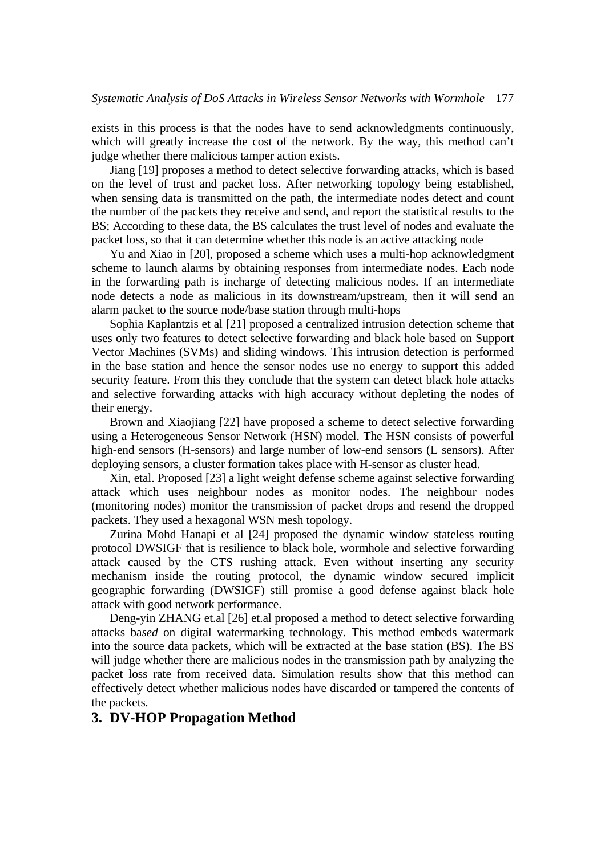exists in this process is that the nodes have to send acknowledgments continuously, which will greatly increase the cost of the network. By the way, this method can't judge whether there malicious tamper action exists.

Jiang [19] proposes a method to detect selective forwarding attacks, which is based on the level of trust and packet loss. After networking topology being established, when sensing data is transmitted on the path, the intermediate nodes detect and count the number of the packets they receive and send, and report the statistical results to the BS; According to these data, the BS calculates the trust level of nodes and evaluate the packet loss, so that it can determine whether this node is an active attacking node

Yu and Xiao in [20], proposed a scheme which uses a multi-hop acknowledgment scheme to launch alarms by obtaining responses from intermediate nodes. Each node in the forwarding path is incharge of detecting malicious nodes. If an intermediate node detects a node as malicious in its downstream/upstream, then it will send an alarm packet to the source node/base station through multi-hops

Sophia Kaplantzis et al [21] proposed a centralized intrusion detection scheme that uses only two features to detect selective forwarding and black hole based on Support Vector Machines (SVMs) and sliding windows. This intrusion detection is performed in the base station and hence the sensor nodes use no energy to support this added security feature. From this they conclude that the system can detect black hole attacks and selective forwarding attacks with high accuracy without depleting the nodes of their energy.

Brown and Xiaojiang [22] have proposed a scheme to detect selective forwarding using a Heterogeneous Sensor Network (HSN) model. The HSN consists of powerful high-end sensors (H-sensors) and large number of low-end sensors (L sensors). After deploying sensors, a cluster formation takes place with H-sensor as cluster head.

Xin, etal. Proposed [23] a light weight defense scheme against selective forwarding attack which uses neighbour nodes as monitor nodes. The neighbour nodes (monitoring nodes) monitor the transmission of packet drops and resend the dropped packets. They used a hexagonal WSN mesh topology.

Zurina Mohd Hanapi et al [24] proposed the dynamic window stateless routing protocol DWSIGF that is resilience to black hole, wormhole and selective forwarding attack caused by the CTS rushing attack. Even without inserting any security mechanism inside the routing protocol, the dynamic window secured implicit geographic forwarding (DWSIGF) still promise a good defense against black hole attack with good network performance.

Deng-yin ZHANG et.al [26] et.al proposed a method to detect selective forwarding attacks ba*sed* on digital watermarking technology. This method embeds watermark into the source data packets, which will be extracted at the base station (BS). The BS will judge whether there are malicious nodes in the transmission path by analyzing the packet loss rate from received data. Simulation results show that this method can effectively detect whether malicious nodes have discarded or tampered the contents of the packets*.* 

## **3. DV-HOP Propagation Method**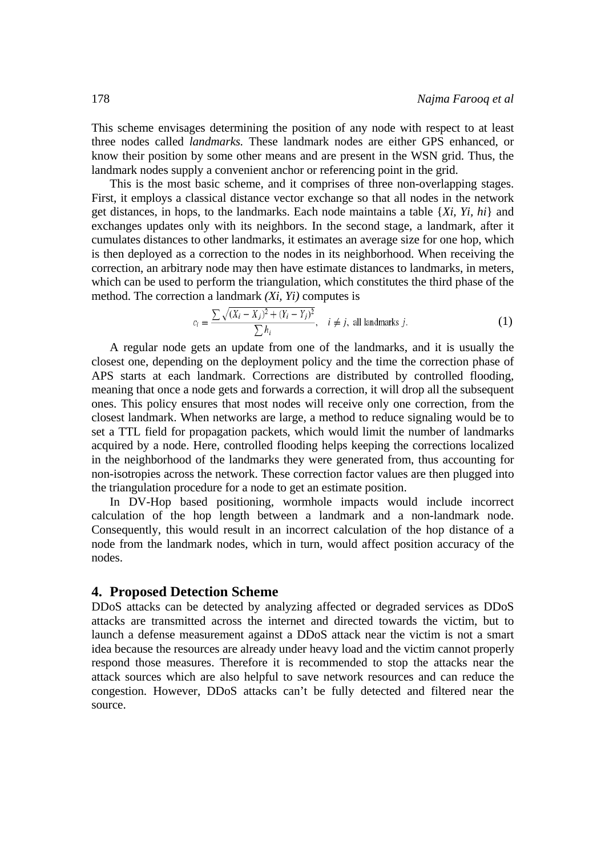This scheme envisages determining the position of any node with respect to at least three nodes called *landmarks.* These landmark nodes are either GPS enhanced, or know their position by some other means and are present in the WSN grid. Thus, the landmark nodes supply a convenient anchor or referencing point in the grid.

This is the most basic scheme, and it comprises of three non-overlapping stages. First, it employs a classical distance vector exchange so that all nodes in the network get distances, in hops, to the landmarks. Each node maintains a table {*Xi, Yi, hi*} and exchanges updates only with its neighbors. In the second stage, a landmark, after it cumulates distances to other landmarks, it estimates an average size for one hop, which is then deployed as a correction to the nodes in its neighborhood. When receiving the correction, an arbitrary node may then have estimate distances to landmarks, in meters, which can be used to perform the triangulation, which constitutes the third phase of the method. The correction a landmark *(Xi, Yi)* computes is

$$
c_i = \frac{\sum \sqrt{(X_i - X_j)^2 + (Y_i - Y_j)^2}}{\sum h_i}, \quad i \neq j, \text{ all landmarks } j.
$$
 (1)

A regular node gets an update from one of the landmarks, and it is usually the closest one, depending on the deployment policy and the time the correction phase of APS starts at each landmark. Corrections are distributed by controlled flooding, meaning that once a node gets and forwards a correction, it will drop all the subsequent ones. This policy ensures that most nodes will receive only one correction, from the closest landmark. When networks are large, a method to reduce signaling would be to set a TTL field for propagation packets, which would limit the number of landmarks acquired by a node. Here, controlled flooding helps keeping the corrections localized in the neighborhood of the landmarks they were generated from, thus accounting for non-isotropies across the network. These correction factor values are then plugged into the triangulation procedure for a node to get an estimate position.

In DV-Hop based positioning, wormhole impacts would include incorrect calculation of the hop length between a landmark and a non-landmark node. Consequently, this would result in an incorrect calculation of the hop distance of a node from the landmark nodes, which in turn, would affect position accuracy of the nodes.

#### **4. Proposed Detection Scheme**

DDoS attacks can be detected by analyzing affected or degraded services as DDoS attacks are transmitted across the internet and directed towards the victim, but to launch a defense measurement against a DDoS attack near the victim is not a smart idea because the resources are already under heavy load and the victim cannot properly respond those measures. Therefore it is recommended to stop the attacks near the attack sources which are also helpful to save network resources and can reduce the congestion. However, DDoS attacks can't be fully detected and filtered near the source.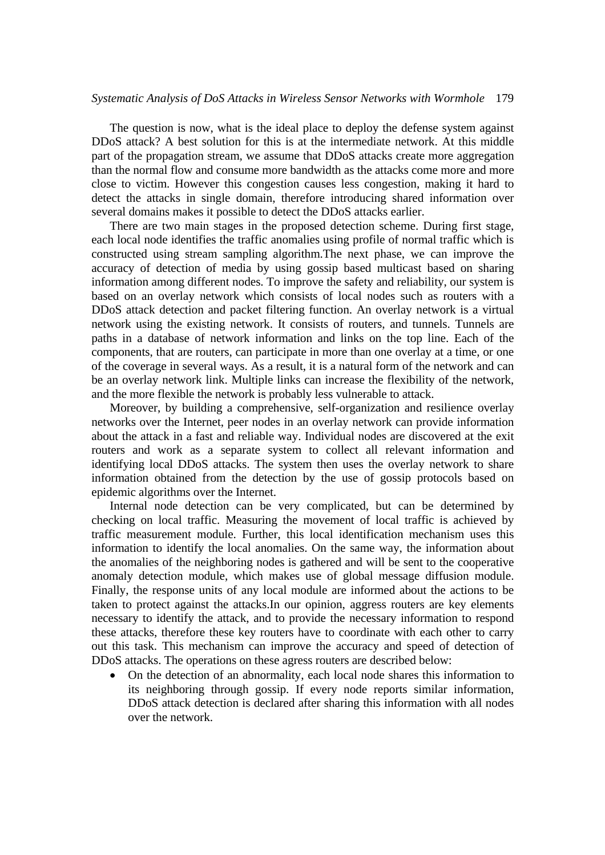The question is now, what is the ideal place to deploy the defense system against DDoS attack? A best solution for this is at the intermediate network. At this middle part of the propagation stream, we assume that DDoS attacks create more aggregation than the normal flow and consume more bandwidth as the attacks come more and more close to victim. However this congestion causes less congestion, making it hard to detect the attacks in single domain, therefore introducing shared information over several domains makes it possible to detect the DDoS attacks earlier.

There are two main stages in the proposed detection scheme. During first stage, each local node identifies the traffic anomalies using profile of normal traffic which is constructed using stream sampling algorithm.The next phase, we can improve the accuracy of detection of media by using gossip based multicast based on sharing information among different nodes. To improve the safety and reliability, our system is based on an overlay network which consists of local nodes such as routers with a DDoS attack detection and packet filtering function. An overlay network is a virtual network using the existing network. It consists of routers, and tunnels. Tunnels are paths in a database of network information and links on the top line. Each of the components, that are routers, can participate in more than one overlay at a time, or one of the coverage in several ways. As a result, it is a natural form of the network and can be an overlay network link. Multiple links can increase the flexibility of the network, and the more flexible the network is probably less vulnerable to attack.

Moreover, by building a comprehensive, self-organization and resilience overlay networks over the Internet, peer nodes in an overlay network can provide information about the attack in a fast and reliable way. Individual nodes are discovered at the exit routers and work as a separate system to collect all relevant information and identifying local DDoS attacks. The system then uses the overlay network to share information obtained from the detection by the use of gossip protocols based on epidemic algorithms over the Internet.

Internal node detection can be very complicated, but can be determined by checking on local traffic. Measuring the movement of local traffic is achieved by traffic measurement module. Further, this local identification mechanism uses this information to identify the local anomalies. On the same way, the information about the anomalies of the neighboring nodes is gathered and will be sent to the cooperative anomaly detection module, which makes use of global message diffusion module. Finally, the response units of any local module are informed about the actions to be taken to protect against the attacks.In our opinion, aggress routers are key elements necessary to identify the attack, and to provide the necessary information to respond these attacks, therefore these key routers have to coordinate with each other to carry out this task. This mechanism can improve the accuracy and speed of detection of DDoS attacks. The operations on these agress routers are described below:

• On the detection of an abnormality, each local node shares this information to its neighboring through gossip. If every node reports similar information, DDoS attack detection is declared after sharing this information with all nodes over the network.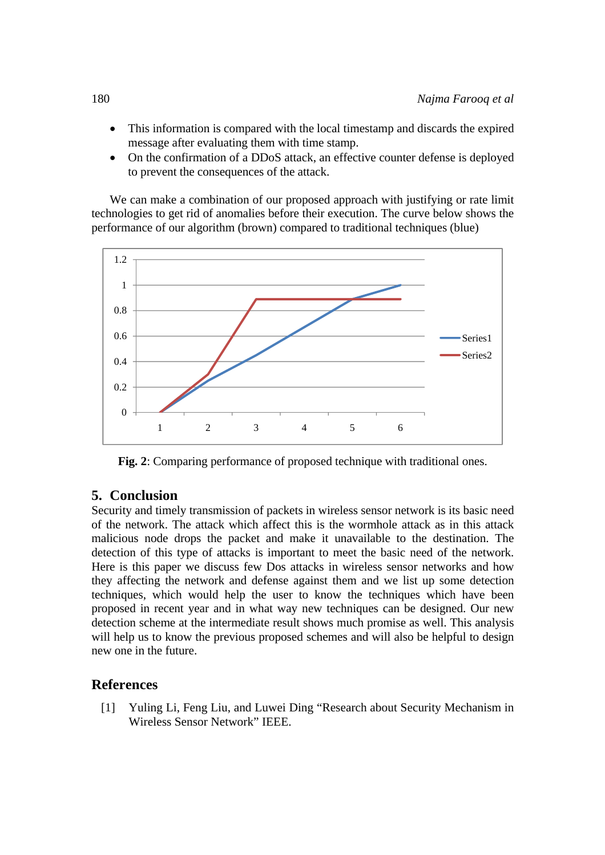- This information is compared with the local timestamp and discards the expired message after evaluating them with time stamp.
- On the confirmation of a DDoS attack, an effective counter defense is deployed to prevent the consequences of the attack.

We can make a combination of our proposed approach with justifying or rate limit technologies to get rid of anomalies before their execution. The curve below shows the performance of our algorithm (brown) compared to traditional techniques (blue)



**Fig. 2**: Comparing performance of proposed technique with traditional ones.

# **5. Conclusion**

Security and timely transmission of packets in wireless sensor network is its basic need of the network. The attack which affect this is the wormhole attack as in this attack malicious node drops the packet and make it unavailable to the destination. The detection of this type of attacks is important to meet the basic need of the network. Here is this paper we discuss few Dos attacks in wireless sensor networks and how they affecting the network and defense against them and we list up some detection techniques, which would help the user to know the techniques which have been proposed in recent year and in what way new techniques can be designed. Our new detection scheme at the intermediate result shows much promise as well. This analysis will help us to know the previous proposed schemes and will also be helpful to design new one in the future.

# **References**

[1] Yuling Li, Feng Liu, and Luwei Ding "Research about Security Mechanism in Wireless Sensor Network" IEEE.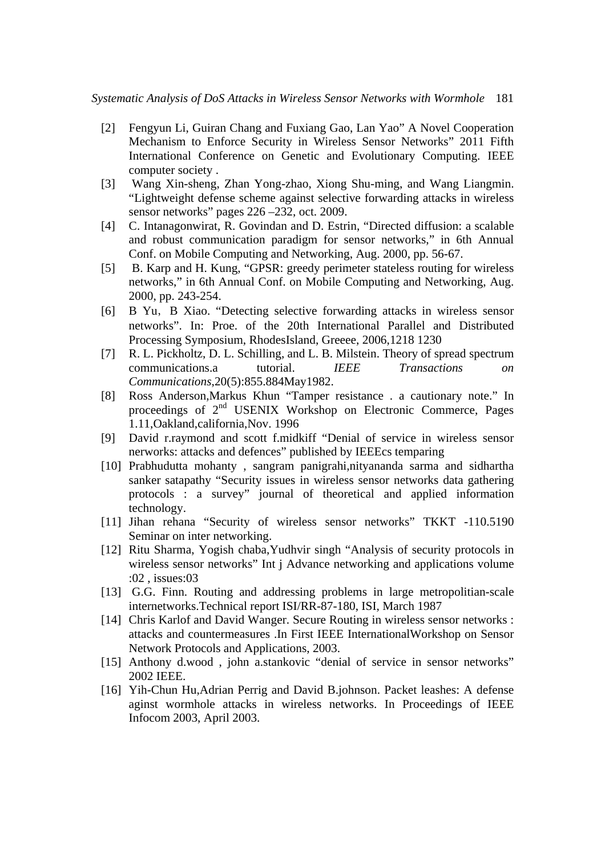- [2] Fengyun Li, Guiran Chang and Fuxiang Gao, Lan Yao" A Novel Cooperation Mechanism to Enforce Security in Wireless Sensor Networks" 2011 Fifth International Conference on Genetic and Evolutionary Computing. IEEE computer society .
- [3] Wang Xin-sheng, Zhan Yong-zhao, Xiong Shu-ming, and Wang Liangmin. "Lightweight defense scheme against selective forwarding attacks in wireless sensor networks" pages 226 - 232, oct. 2009.
- [4] C. Intanagonwirat, R. Govindan and D. Estrin, "Directed diffusion: a scalable and robust communication paradigm for sensor networks," in 6th Annual Conf. on Mobile Computing and Networking, Aug. 2000, pp. 56-67.
- [5] B. Karp and H. Kung, "GPSR: greedy perimeter stateless routing for wireless networks," in 6th Annual Conf. on Mobile Computing and Networking, Aug. 2000, pp. 243-254.
- [6] B Yu,B Xiao. "Detecting selective forwarding attacks in wireless sensor networks". In: Proe. of the 20th International Parallel and Distributed Processing Symposium, RhodesIsland, Greeee, 2006,1218 1230
- [7] R. L. Pickholtz, D. L. Schilling, and L. B. Milstein. Theory of spread spectrum communications.a tutorial. *IEEE Transactions on Communications*,20(5):855.884May1982.
- [8] Ross Anderson,Markus Khun "Tamper resistance . a cautionary note." In proceedings of 2<sup>nd</sup> USENIX Workshop on Electronic Commerce, Pages 1.11,Oakland,california,Nov. 1996
- [9] David r.raymond and scott f.midkiff "Denial of service in wireless sensor nerworks: attacks and defences" published by IEEEcs temparing
- [10] Prabhudutta mohanty , sangram panigrahi,nityananda sarma and sidhartha sanker satapathy "Security issues in wireless sensor networks data gathering protocols : a survey" journal of theoretical and applied information technology.
- [11] Jihan rehana "Security of wireless sensor networks" TKKT -110.5190 Seminar on inter networking.
- [12] Ritu Sharma, Yogish chaba,Yudhvir singh "Analysis of security protocols in wireless sensor networks" Int j Advance networking and applications volume :02 , issues:03
- [13] G.G. Finn. Routing and addressing problems in large metropolitian-scale internetworks.Technical report ISI/RR-87-180, ISI, March 1987
- [14] Chris Karlof and David Wanger. Secure Routing in wireless sensor networks : attacks and countermeasures .In First IEEE InternationalWorkshop on Sensor Network Protocols and Applications, 2003.
- [15] Anthony d.wood, john a.stankovic "denial of service in sensor networks" 2002 IEEE.
- [16] Yih-Chun Hu,Adrian Perrig and David B.johnson. Packet leashes: A defense aginst wormhole attacks in wireless networks. In Proceedings of IEEE Infocom 2003, April 2003.